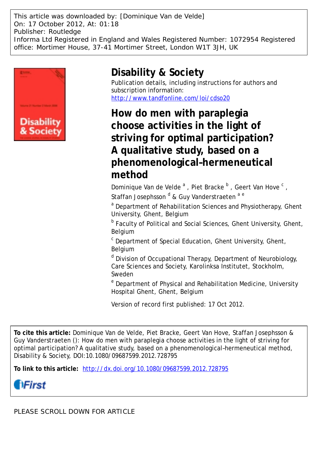This article was downloaded by: [Dominique Van de Velde] On: 17 October 2012, At: 01:18 Publisher: Routledge Informa Ltd Registered in England and Wales Registered Number: 1072954 Registered office: Mortimer House, 37-41 Mortimer Street, London W1T 3JH, UK



# **Disability & Society**

Publication details, including instructions for authors and subscription information: <http://www.tandfonline.com/loi/cdso20>

**How do men with paraplegia choose activities in the light of striving for optimal participation? A qualitative study, based on a phenomenological–hermeneutical method**

Dominique Van de Velde<sup>a</sup>, Piet Bracke<sup>b</sup>, Geert Van Hove<sup>c</sup>, Staffan Josephsson <sup>d</sup> & Guy Vanderstraeten <sup>a e</sup>

<sup>a</sup> Department of Rehabilitation Sciences and Physiotherapy, Ghent University, Ghent, Belgium

<sup>b</sup> Faculty of Political and Social Sciences, Ghent University, Ghent, Belgium

<sup>c</sup> Department of Special Education, Ghent University, Ghent, Belgium

<sup>d</sup> Division of Occupational Therapy, Department of Neurobiology, Care Sciences and Society, Karolinksa Institutet, Stockholm, Sweden

<sup>e</sup> Department of Physical and Rehabilitation Medicine, University Hospital Ghent, Ghent, Belgium

Version of record first published: 17 Oct 2012.

**To cite this article:** Dominique Van de Velde, Piet Bracke, Geert Van Hove, Staffan Josephsson & Guy Vanderstraeten (): How do men with paraplegia choose activities in the light of striving for optimal participation? A qualitative study, based on a phenomenological–hermeneutical method, Disability & Society, DOI:10.1080/09687599.2012.728795

**To link to this article:** <http://dx.doi.org/10.1080/09687599.2012.728795>

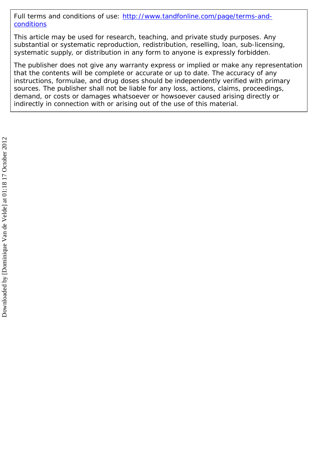Full terms and conditions of use: [http://www.tandfonline.com/page/terms-and](http://www.tandfonline.com/page/terms-and-conditions)[conditions](http://www.tandfonline.com/page/terms-and-conditions)

This article may be used for research, teaching, and private study purposes. Any substantial or systematic reproduction, redistribution, reselling, loan, sub-licensing, systematic supply, or distribution in any form to anyone is expressly forbidden.

The publisher does not give any warranty express or implied or make any representation that the contents will be complete or accurate or up to date. The accuracy of any instructions, formulae, and drug doses should be independently verified with primary sources. The publisher shall not be liable for any loss, actions, claims, proceedings, demand, or costs or damages whatsoever or howsoever caused arising directly or indirectly in connection with or arising out of the use of this material.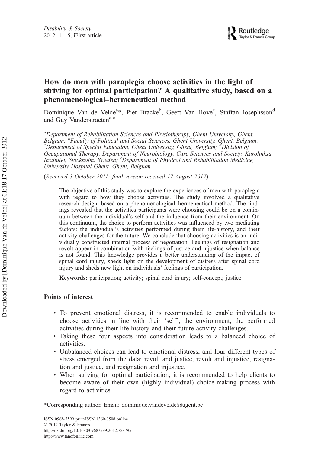# How do men with paraplegia choose activities in the light of striving for optimal participation? A qualitative study, based on a phenomenological–hermeneutical method

Dominique Van de Velde<sup>a</sup>\*, Piet Bracke<sup>b</sup>, Geert Van Hove<sup>c</sup>, Staffan Josephsson<sup>d</sup> and Guy Vanderstraeten<sup>a,e</sup>

<sup>a</sup>Department of Rehabilitation Sciences and Physiotherapy, Ghent University, Ghent, Belgium; <sup>b</sup>Faculty of Political and Social Sciences, Ghent University, Ghent, Belgium;<br><sup>c</sup>Department of Special Education, Ghent University, Ghent, Belgium; <sup>d</sup>Division of Department of Special Education, Ghent University, Ghent, Belgium; <sup>d</sup>Division of Occupational Therapy, Department of Neurobiology, Care Sciences and Society, Karolinksa Institutet, Stockholm, Sweden; <sup>e</sup>Department of Physical and Rehabilitation Medicine, University Hospital Ghent, Ghent, Belgium

(Received 3 October 2011; final version received 17 August 2012)

The objective of this study was to explore the experiences of men with paraplegia with regard to how they choose activities. The study involved a qualitative research design, based on a phenomenological–hermeneutical method. The findings revealed that the activities participants were choosing could be on a continuum between the individual's self and the influence from their environment. On this continuum, the choice to perform activities was influenced by two mediating factors: the individual's activities performed during their life-history, and their activity challenges for the future. We conclude that choosing activities is an individually constructed internal process of negotiation. Feelings of resignation and revolt appear in combination with feelings of justice and injustice when balance is not found. This knowledge provides a better understanding of the impact of spinal cord injury, sheds light on the development of distress after spinal cord injury and sheds new light on individuals' feelings of participation.

Keywords: participation; activity; spinal cord injury; self-concept; justice

# Points of interest

- To prevent emotional distress, it is recommended to enable individuals to choose activities in line with their 'self', the environment, the performed activities during their life-history and their future activity challenges.
- Taking these four aspects into consideration leads to a balanced choice of activities.
- Unbalanced choices can lead to emotional distress, and four different types of stress emerged from the data: revolt and justice, revolt and injustice, resignation and justice, and resignation and injustice.
- When striving for optimal participation; it is recommended to help clients to become aware of their own (highly individual) choice-making process with regard to activities.

<sup>\*</sup>Corresponding author. Email: dominique.vandevelde@ugent.be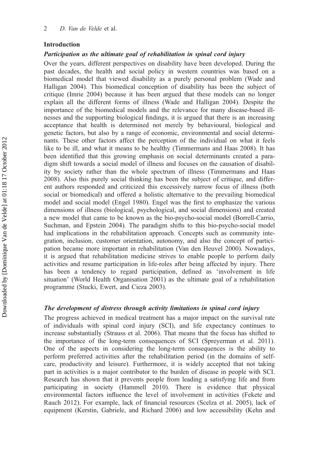#### Introduction

#### Participation as the ultimate goal of rehabilitation in spinal cord injury

Over the years, different perspectives on disability have been developed. During the past decades, the health and social policy in western countries was based on a biomedical model that viewed disability as a purely personal problem (Wade and Halligan 2004). This biomedical conception of disability has been the subject of critique (Imrie 2004) because it has been argued that these models can no longer explain all the different forms of illness (Wade and Halligan 2004). Despite the importance of the biomedical models and the relevance for many disease-based illnesses and the supporting biological findings, it is argued that there is an increasing acceptance that health is determined not merely by behavioural, biological and genetic factors, but also by a range of economic, environmental and social determinants. These other factors affect the perception of the individual on what it feels like to be ill, and what it means to be healthy (Timmermans and Haas 2008). It has been identified that this growing emphasis on social determinants created a paradigm shift towards a social model of illness and focuses on the causation of disability by society rather than the whole spectrum of illness (Timmermans and Haas 2008). Also this purely social thinking has been the subject of critique, and different authors responded and criticized this excessively narrow focus of illness (both social or biomedical) and offered a holistic alternative to the prevailing biomedical model and social model (Engel 1980). Engel was the first to emphasize the various dimensions of illness (biological, psychological, and social dimensions) and created a new model that came to be known as the bio-psycho-social model (Borrell-Carrio, Suchman, and Epstein 2004). The paradigm shifts to this bio-psycho-social model had implications in the rehabilitation approach. Concepts such as community integration, inclusion, customer orientation, autonomy, and also the concept of participation became more important in rehabilitation (Van den Heuvel 2000). Nowadays, it is argued that rehabilitation medicine strives to enable people to perform daily activities and resume participation in life-roles after being affected by injury. There has been a tendency to regard participation, defined as 'involvement in life situation' (World Health Organisation 2001) as the ultimate goal of a rehabilitation programme (Stucki, Ewert, and Cieza 2003).

## The development of distress through activity limitations in spinal cord injury

The progress achieved in medical treatment has a major impact on the survival rate of individuals with spinal cord injury (SCI), and life expectancy continues to increase substantially (Strauss et al. 2006). That means that the focus has shifted to the importance of the long-term consequences of SCI (Spreyerman et al. 2011). One of the aspects in considering the long-term consequences is the ability to perform preferred activities after the rehabilitation period (in the domains of selfcare, productivity and leisure). Furthermore, it is widely accepted that not taking part in activities is a major contributor to the burden of disease in people with SCI. Research has shown that it prevents people from leading a satisfying life and from participating in society (Hammell 2010). There is evidence that physical environmental factors influence the level of involvement in activities (Fekete and Rauch 2012). For example, lack of financial resources (Scelza et al. 2005), lack of equipment (Kerstin, Gabriele, and Richard 2006) and low accessibility (Kehn and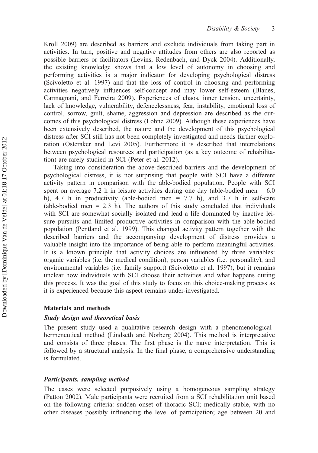Kroll 2009) are described as barriers and exclude individuals from taking part in activities. In turn, positive and negative attitudes from others are also reported as possible barriers or facilitators (Levins, Redenbach, and Dyck 2004). Additionally, the existing knowledge shows that a low level of autonomy in choosing and performing activities is a major indicator for developing psychological distress (Scivoletto et al. 1997) and that the loss of control in choosing and performing activities negatively influences self-concept and may lower self-esteem (Blanes, Carmagnani, and Ferreira 2009). Experiences of chaos, inner tension, uncertainty, lack of knowledge, vulnerability, defencelessness, fear, instability, emotional loss of control, sorrow, guilt, shame, aggression and depression are described as the outcomes of this psychological distress (Lohne 2009). Although these experiences have been extensively described, the nature and the development of this psychological distress after SCI still has not been completely investigated and needs further exploration (Österaker and Levi 2005). Furthermore it is described that interrelations between psychological resources and participation (as a key outcome of rehabilitation) are rarely studied in SCI (Peter et al. 2012).

Taking into consideration the above-described barriers and the development of psychological distress, it is not surprising that people with SCI have a different activity pattern in comparison with the able-bodied population. People with SCI spent on average 7.2 h in leisure activities during one day (able-bodied men  $= 6.0$ ) h), 4.7 h in productivity (able-bodied men  $= 7.7$  h), and 3.7 h in self-care (able-bodied men  $= 2.3$  h). The authors of this study concluded that individuals with SCI are somewhat socially isolated and lead a life dominated by inactive leisure pursuits and limited productive activities in comparison with the able-bodied population (Pentland et al. 1999). This changed activity pattern together with the described barriers and the accompanying development of distress provides a valuable insight into the importance of being able to perform meaningful activities. It is a known principle that activity choices are influenced by three variables: organic variables (i.e. the medical condition), person variables (i.e. personality), and environmental variables (i.e. family support) (Scivoletto et al. 1997), but it remains unclear how individuals with SCI choose their activities and what happens during this process. It was the goal of this study to focus on this choice-making process as it is experienced because this aspect remains under-investigated.

#### Materials and methods

#### Study design and theoretical basis

The present study used a qualitative research design with a phenomenological– hermeneutical method (Lindseth and Norberg 2004). This method is interpretative and consists of three phases. The first phase is the naïve interpretation. This is followed by a structural analysis. In the final phase, a comprehensive understanding is formulated.

#### Participants, sampling method

The cases were selected purposively using a homogeneous sampling strategy (Patton 2002). Male participants were recruited from a SCI rehabilitation unit based on the following criteria: sudden onset of thoracic SCI; medically stable, with no other diseases possibly influencing the level of participation; age between 20 and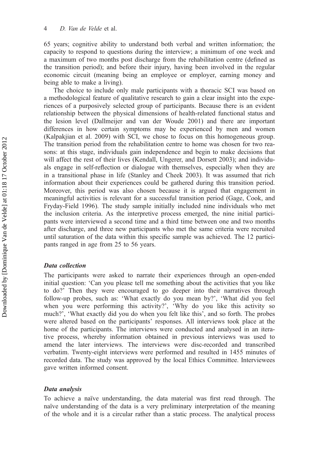65 years; cognitive ability to understand both verbal and written information; the capacity to respond to questions during the interview; a minimum of one week and a maximum of two months post discharge from the rehabilitation centre (defined as the transition period); and before their injury, having been involved in the regular economic circuit (meaning being an employee or employer, earning money and being able to make a living).

The choice to include only male participants with a thoracic SCI was based on a methodological feature of qualitative research to gain a clear insight into the experiences of a purposively selected group of participants. Because there is an evident relationship between the physical dimensions of health-related functional status and the lesion level (Dallmeijer and van der Woude 2001) and there are important differences in how certain symptoms may be experienced by men and women (Kalpakjian et al. 2009) with SCI, we chose to focus on this homogeneous group. The transition period from the rehabilitation centre to home was chosen for two reasons: at this stage, individuals gain independence and begin to make decisions that will affect the rest of their lives (Kendall, Ungerer, and Dorsett 2003); and individuals engage in self-reflection or dialogue with themselves, especially when they are in a transitional phase in life (Stanley and Cheek 2003). It was assumed that rich information about their experiences could be gathered during this transition period. Moreover, this period was also chosen because it is argued that engagement in meaningful activities is relevant for a successful transition period (Gage, Cook, and Fryday-Field 1996). The study sample initially included nine individuals who met the inclusion criteria. As the interpretive process emerged, the nine initial participants were interviewed a second time and a third time between one and two months after discharge, and three new participants who met the same criteria were recruited until saturation of the data within this specific sample was achieved. The 12 participants ranged in age from 25 to 56 years.

#### Data collection

The participants were asked to narrate their experiences through an open-ended initial question: 'Can you please tell me something about the activities that you like to do?' Then they were encouraged to go deeper into their narratives through follow-up probes, such as: 'What exactly do you mean by?', 'What did you feel when you were performing this activity?', 'Why do you like this activity so much?', 'What exactly did you do when you felt like this', and so forth. The probes were altered based on the participants' responses. All interviews took place at the home of the participants. The interviews were conducted and analysed in an iterative process, whereby information obtained in previous interviews was used to amend the later interviews. The interviews were disc-recorded and transcribed verbatim. Twenty-eight interviews were performed and resulted in 1455 minutes of recorded data. The study was approved by the local Ethics Committee. Interviewees gave written informed consent.

#### Data analysis

To achieve a naïve understanding, the data material was first read through. The naïve understanding of the data is a very preliminary interpretation of the meaning of the whole and it is a circular rather than a static process. The analytical process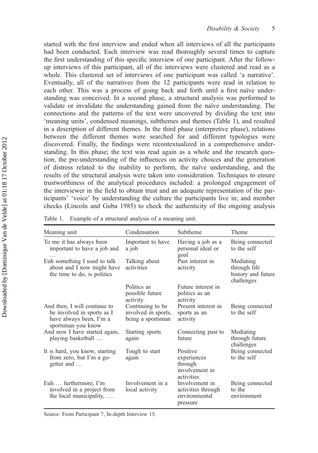started with the first interview and ended when all interviews of all the participants had been conducted. Each interview was read thoroughly several times to capture the first understanding of this specific interview of one participant. After the followup interviews of this participant, all of the interviews were clustered and read as a whole. This clustered set of interviews of one participant was called 'a narrative'. Eventually, all of the narratives from the 12 participants were read in relation to each other. This was a process of going back and forth until a first naïve understanding was conceived. In a second phase, a structural analysis was performed to validate or invalidate the understanding gained from the naïve understanding. The connections and the patterns of the text were uncovered by dividing the text into 'meaning units', condensed meanings, subthemes and themes (Table 1), and resulted in a description of different themes. In the third phase (interpretive phase), relations between the different themes were searched for and different typologies were discovered. Finally, the findings were recontextualized in a comprehensive understanding. In this phase; the text was read again as a whole and the research question, the pre-understanding of the influences on activity choices and the generation of distress related to the inability to perform, the naïve understanding, and the results of the structural analysis were taken into consideration. Techniques to ensure trustworthiness of the analytical procedures included: a prolonged engagement of the interviewer in the field to obtain trust and an adequate representation of the participants' 'voice' by understanding the culture the participants live in; and member checks (Lincoln and Guba 1985) to check the authenticity of the ongoing analysis

| Meaning unit                                                                              | Condensation                                                                          | Subtheme                                                                                | Theme                                                         |
|-------------------------------------------------------------------------------------------|---------------------------------------------------------------------------------------|-----------------------------------------------------------------------------------------|---------------------------------------------------------------|
| To me it has always been<br>important to have a job and                                   | Important to have<br>a job                                                            | Having a job as a<br>personal ideal or<br>goal                                          | Being connected<br>to the self                                |
| Euh something I used to talk<br>about and I now might have<br>the time to do, is politics | Talking about<br>activities                                                           | Past interest in<br>activity                                                            | Mediating<br>through life<br>history and future<br>challenges |
| And then, I will continue to<br>be involved in sports as I                                | Politics as<br>possible future<br>activity<br>Continuing to be<br>involved in sports, | Future interest in<br>politics as an<br>activity<br>Present interest in<br>sports as an | Being connected<br>to the self                                |
| have always been, I'm a<br>sportsman you know                                             | being a sportsman                                                                     | activity                                                                                |                                                               |
| And now I have started again,<br>playing basketball                                       | Starting sports<br>again                                                              | Connecting past to<br>future                                                            | Mediating<br>through future<br>challenges                     |
| It is hard, you know, starting<br>from zero, but I'm a go-<br>getter and                  | Tough to start<br>again                                                               | Positive<br>experiences<br>through<br>involvement in<br>activities                      | Being connected<br>to the self                                |
| Euh  furthermore, I'm<br>involved in a project from<br>the local municipality,            | Involvement in a<br>local activity                                                    | Involvement in<br>activities through<br>environmental<br>pressure                       | Being connected<br>to the<br>environment                      |

Table 1. Example of a structural analysis of a meaning unit.

Source: From Participant 7, In-depth Interview 15.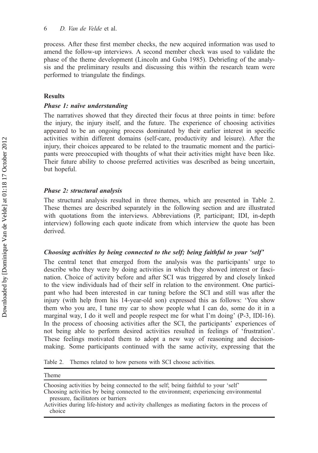process. After these first member checks, the new acquired information was used to amend the follow-up interviews. A second member check was used to validate the phase of the theme development (Lincoln and Guba 1985). Debriefing of the analysis and the preliminary results and discussing this within the research team were performed to triangulate the findings.

#### Results

#### Phase 1: naïve understanding

The narratives showed that they directed their focus at three points in time: before the injury, the injury itself, and the future. The experience of choosing activities appeared to be an ongoing process dominated by their earlier interest in specific activities within different domains (self-care, productivity and leisure). After the injury, their choices appeared to be related to the traumatic moment and the participants were preoccupied with thoughts of what their activities might have been like. Their future ability to choose preferred activities was described as being uncertain, but hopeful.

#### Phase 2: structural analysis

The structural analysis resulted in three themes, which are presented in Table 2. These themes are described separately in the following section and are illustrated with quotations from the interviews. Abbreviations (P, participant; IDI, in-depth interview) following each quote indicate from which interview the quote has been derived.

#### Choosing activities by being connected to the self; being faithful to your 'self'

The central tenet that emerged from the analysis was the participants' urge to describe who they were by doing activities in which they showed interest or fascination. Choice of activity before and after SCI was triggered by and closely linked to the view individuals had of their self in relation to the environment. One participant who had been interested in car tuning before the SCI and still was after the injury (with help from his 14-year-old son) expressed this as follows: 'You show them who you are, I tune my car to show people what I can do, some do it in a marginal way, I do it well and people respect me for what I'm doing' (P-3, IDI-16). In the process of choosing activities after the SCI, the participants' experiences of not being able to perform desired activities resulted in feelings of 'frustration'. These feelings motivated them to adopt a new way of reasoning and decisionmaking. Some participants continued with the same activity, expressing that the

Table 2. Themes related to how persons with SCI choose activities.

Choosing activities by being connected to the self; being faithful to your 'self'

Choosing activities by being connected to the environment; experiencing environmental pressure, facilitators or barriers

Activities during life-history and activity challenges as mediating factors in the process of choice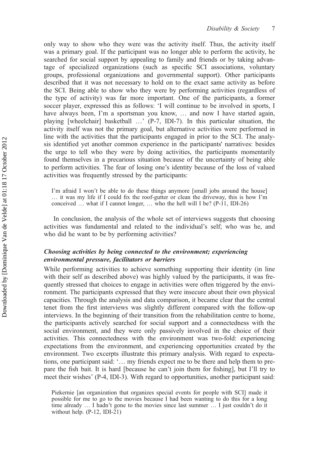only way to show who they were was the activity itself. Thus, the activity itself was a primary goal. If the participant was no longer able to perform the activity, he searched for social support by appealing to family and friends or by taking advantage of specialized organizations (such as specific SCI associations, voluntary groups, professional organizations and governmental support). Other participants described that it was not necessary to hold on to the exact same activity as before the SCI. Being able to show who they were by performing activities (regardless of the type of activity) was far more important. One of the participants, a former soccer player, expressed this as follows: 'I will continue to be involved in sports, I have always been, I'm a sportsman you know, ... and now I have started again, playing [wheelchair] basketball …' (P-7, IDI-7). In this particular situation, the activity itself was not the primary goal, but alternative activities were performed in line with the activities that the participants engaged in prior to the SCI. The analysis identified yet another common experience in the participants' narratives: besides the urge to tell who they were by doing activities, the participants momentarily found themselves in a precarious situation because of the uncertainty of being able to perform activities. The fear of losing one's identity because of the loss of valued activities was frequently stressed by the participants:

I'm afraid I won't be able to do these things anymore [small jobs around the house] … it was my life if I could fix the roof-gutter or clean the driveway, this is how I'm conceived … what if I cannot longer, … who the hell will I be? (P-11, IDI-26)

In conclusion, the analysis of the whole set of interviews suggests that choosing activities was fundamental and related to the individual's self; who was he, and who did he want to be by performing activities?

## Choosing activities by being connected to the environment; experiencing environmental pressure, facilitators or barriers

While performing activities to achieve something supporting their identity (in line with their self as described above) was highly valued by the participants, it was frequently stressed that choices to engage in activities were often triggered by the environment. The participants expressed that they were insecure about their own physical capacities. Through the analysis and data comparison, it became clear that the central tenet from the first interviews was slightly different compared with the follow-up interviews. In the beginning of their transition from the rehabilitation centre to home, the participants actively searched for social support and a connectedness with the social environment, and they were only passively involved in the choice of their activities. This connectedness with the environment was two-fold: experiencing expectations from the environment, and experiencing opportunities created by the environment. Two excerpts illustrate this primary analysis. With regard to expectations, one participant said: '… my friends expect me to be there and help them to prepare the fish bait. It is hard [because he can't join them for fishing], but I'll try to meet their wishes' (P-4, IDI-3). With regard to opportunities, another participant said:

Piekernie [an organization that organizes special events for people with SCI] made it possible for me to go to the movies because I had been wanting to do this for a long time already … I hadn't gone to the movies since last summer … I just couldn't do it without help. (P-12, IDI-21)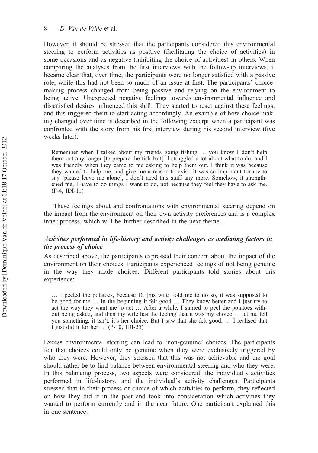However, it should be stressed that the participants considered this environmental steering to perform activities as positive (facilitating the choice of activities) in some occasions and as negative (inhibiting the choice of activities) in others. When comparing the analyses from the first interviews with the follow-up interviews, it became clear that, over time, the participants were no longer satisfied with a passive role, while this had not been so much of an issue at first. The participants' choicemaking process changed from being passive and relying on the environment to being active. Unexpected negative feelings towards environmental influence and dissatisfied desires influenced this shift. They started to react against these feelings, and this triggered them to start acting accordingly. An example of how choice-making changed over time is described in the following excerpt when a participant was confronted with the story from his first interview during his second interview (five weeks later):

Remember when I talked about my friends going fishing … you know I don't help them out any longer [to prepare the fish bait]. I struggled a lot about what to do, and I was friendly when they came to me asking to help them out. I think it was because they wanted to help me, and give me a reason to exist. It was so important for me to say 'please leave me alone', I don't need this stuff any more. Somehow, it strengthened me, I have to do things I want to do, not because they feel they have to ask me. (P-4, IDI-11)

These feelings about and confrontations with environmental steering depend on the impact from the environment on their own activity preferences and is a complex inner process, which will be further described in the next theme.

### Activities performed in life-history and activity challenges as mediating factors in the process of choice

As described above, the participants expressed their concern about the impact of the environment on their choices. Participants experienced feelings of not being genuine in the way they made choices. Different participants told stories about this experience:

… I peeled the potatoes, because D. [his wife] told me to do so, it was supposed to be good for me … In the beginning it felt good … They know better and I just try to act the way they want me to act … After a while, I started to peel the potatoes without being asked, and then my wife has the feeling that it was my choice … let me tell you something, it isn't, it's her choice. But I saw that she felt good, … I realised that I just did it for her … (P-10, IDI-25)

Excess environmental steering can lead to 'non-genuine' choices. The participants felt that choices could only be genuine when they were exclusively triggered by who they were. However, they stressed that this was not achievable and the goal should rather be to find balance between environmental steering and who they were. In this balancing process, two aspects were considered: the individual's activities performed in life-history, and the individual's activity challenges. Participants stressed that in their process of choice of which activities to perform, they reflected on how they did it in the past and took into consideration which activities they wanted to perform currently and in the near future. One participant explained this in one sentence: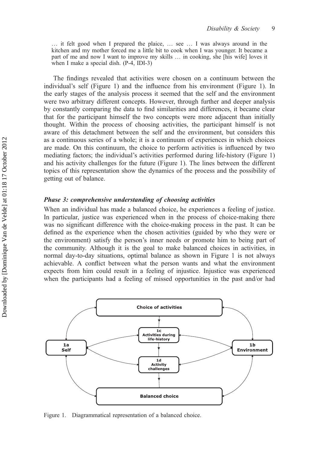… it felt good when I prepared the plaice, … see … I was always around in the kitchen and my mother forced me a little bit to cook when I was younger. It became a part of me and now I want to improve my skills … in cooking, she [his wife] loves it when I make a special dish. (P-4, IDI-3)

The findings revealed that activities were chosen on a continuum between the individual's self (Figure 1) and the influence from his environment (Figure 1). In the early stages of the analysis process it seemed that the self and the environment were two arbitrary different concepts. However, through further and deeper analysis by constantly comparing the data to find similarities and differences, it became clear that for the participant himself the two concepts were more adjacent than initially thought. Within the process of choosing activities, the participant himself is not aware of this detachment between the self and the environment, but considers this as a continuous series of a whole; it is a continuum of experiences in which choices are made. On this continuum, the choice to perform activities is influenced by two mediating factors; the individual's activities performed during life-history (Figure 1) and his activity challenges for the future (Figure 1). The lines between the different topics of this representation show the dynamics of the process and the possibility of getting out of balance.

#### Phase 3: comprehensive understanding of choosing activities

When an individual has made a balanced choice, he experiences a feeling of justice. In particular, justice was experienced when in the process of choice-making there was no significant difference with the choice-making process in the past. It can be defined as the experience when the chosen activities (guided by who they were or the environment) satisfy the person's inner needs or promote him to being part of the community. Although it is the goal to make balanced choices in activities, in normal day-to-day situations, optimal balance as shown in Figure 1 is not always achievable. A conflict between what the person wants and what the environment expects from him could result in a feeling of injustice. Injustice was experienced when the participants had a feeling of missed opportunities in the past and/or had



Figure 1. Diagrammatical representation of a balanced choice.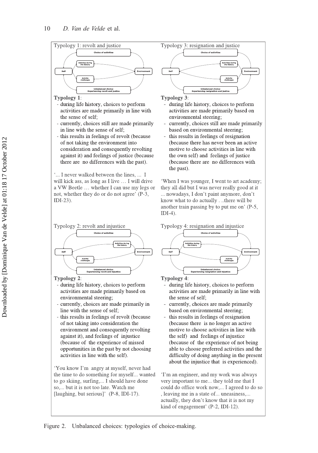

Figure 2. Unbalanced choices: typologies of choice-making.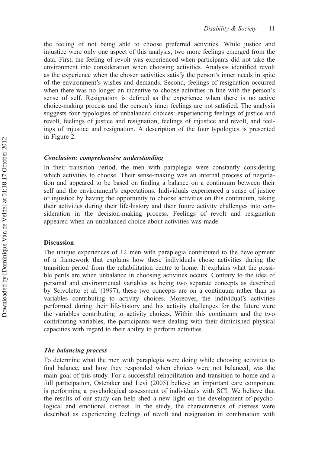the feeling of not being able to choose preferred activities. While justice and injustice were only one aspect of this analysis, two more feelings emerged from the data. First, the feeling of revolt was experienced when participants did not take the environment into consideration when choosing activities. Analysis identified revolt as the experience when the chosen activities satisfy the person's inner needs in spite of the environment's wishes and demands. Second, feelings of resignation occurred when there was no longer an incentive to choose activities in line with the person's sense of self. Resignation is defined as the experience when there is no active choice-making process and the person's inner feelings are not satisfied. The analysis suggests four typologies of unbalanced choices: experiencing feelings of justice and revolt, feelings of justice and resignation, feelings of injustice and revolt, and feelings of injustice and resignation. A description of the four typologies is presented in Figure 2.

#### Conclusion: comprehensive understanding

In their transition period, the men with paraplegia were constantly considering which activities to choose. Their sense-making was an internal process of negotiation and appeared to be based on finding a balance on a continuum between their self and the environment's expectations. Individuals experienced a sense of justice or injustice by having the opportunity to choose activities on this continuum, taking their activities during their life-history and their future activity challenges into consideration in the decision-making process. Feelings of revolt and resignation appeared when an unbalanced choice about activities was made.

#### **Discussion**

The unique experiences of 12 men with paraplegia contributed to the development of a framework that explains how these individuals chose activities during the transition period from the rehabilitation centre to home. It explains what the possible perils are when unbalance in choosing activities occurs. Contrary to the idea of personal and environmental variables as being two separate concepts as described by Scivoletto et al. (1997), these two concepts are on a continuum rather than as variables contributing to activity choices. Moreover, the individual's activities performed during their life-history and his activity challenges for the future were the variables contributing to activity choices. Within this continuum and the two contributing variables, the participants were dealing with their diminished physical capacities with regard to their ability to perform activities.

#### The balancing process

To determine what the men with paraplegia were doing while choosing activities to find balance, and how they responded when choices were not balanced, was the main goal of this study. For a successful rehabilitation and transition to home and a full participation, Österaker and Levi (2005) believe an important care component is performing a psychological assessment of individuals with SCI. We believe that the results of our study can help shed a new light on the development of psychological and emotional distress. In the study, the characteristics of distress were described as experiencing feelings of revolt and resignation in combination with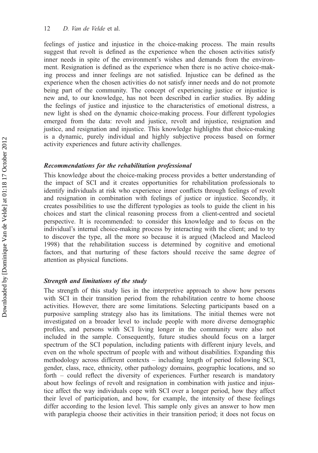feelings of justice and injustice in the choice-making process. The main results suggest that revolt is defined as the experience when the chosen activities satisfy inner needs in spite of the environment's wishes and demands from the environment. Resignation is defined as the experience when there is no active choice-making process and inner feelings are not satisfied. Injustice can be defined as the experience when the chosen activities do not satisfy inner needs and do not promote being part of the community. The concept of experiencing justice or injustice is new and, to our knowledge, has not been described in earlier studies. By adding the feelings of justice and injustice to the characteristics of emotional distress, a new light is shed on the dynamic choice-making process. Four different typologies emerged from the data: revolt and justice, revolt and injustice, resignation and justice, and resignation and injustice. This knowledge highlights that choice-making is a dynamic, purely individual and highly subjective process based on former activity experiences and future activity challenges.

#### Recommendations for the rehabilitation professional

This knowledge about the choice-making process provides a better understanding of the impact of SCI and it creates opportunities for rehabilitation professionals to identify individuals at risk who experience inner conflicts through feelings of revolt and resignation in combination with feelings of justice or injustice. Secondly, it creates possibilities to use the different typologies as tools to guide the client in his choices and start the clinical reasoning process from a client-centred and societal perspective. It is recommended: to consider this knowledge and to focus on the individual's internal choice-making process by interacting with the client; and to try to discover the type, all the more so because it is argued (Macleod and Macleod 1998) that the rehabilitation success is determined by cognitive and emotional factors, and that nurturing of these factors should receive the same degree of attention as physical functions.

#### Strength and limitations of the study

The strength of this study lies in the interpretive approach to show how persons with SCI in their transition period from the rehabilitation centre to home choose activities. However, there are some limitations. Selecting participants based on a purposive sampling strategy also has its limitations. The initial themes were not investigated on a broader level to include people with more diverse demographic profiles, and persons with SCI living longer in the community were also not included in the sample. Consequently, future studies should focus on a larger spectrum of the SCI population, including patients with different injury levels, and even on the whole spectrum of people with and without disabilities. Expanding this methodology across different contexts – including length of period following SCI, gender, class, race, ethnicity, other pathology domains, geographic locations, and so forth – could reflect the diversity of experiences. Further research is mandatory about how feelings of revolt and resignation in combination with justice and injustice affect the way individuals cope with SCI over a longer period, how they affect their level of participation, and how, for example, the intensity of these feelings differ according to the lesion level. This sample only gives an answer to how men with paraplegia choose their activities in their transition period; it does not focus on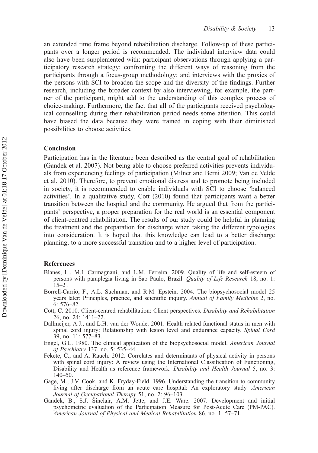an extended time frame beyond rehabilitation discharge. Follow-up of these participants over a longer period is recommended. The individual interview data could also have been supplemented with: participant observations through applying a participatory research strategy; confronting the different ways of reasoning from the participants through a focus-group methodology; and interviews with the proxies of the persons with SCI to broaden the scope and the diversity of the findings. Further research, including the broader context by also interviewing, for example, the partner of the participant, might add to the understanding of this complex process of choice-making. Furthermore, the fact that all of the participants received psychological counselling during their rehabilitation period needs some attention. This could have biased the data because they were trained in coping with their diminished possibilities to choose activities.

#### Conclusion

Participation has in the literature been described as the central goal of rehabilitation (Gandek et al. 2007). Not being able to choose preferred activities prevents individuals from experiencing feelings of participation (Milner and Berni 2009; Van de Velde et al. 2010). Therefore, to prevent emotional distress and to promote being included in society, it is recommended to enable individuals with SCI to choose 'balanced activities'. In a qualitative study, Cott (2010) found that participants want a better transition between the hospital and the community. He argued that from the participants' perspective, a proper preparation for the real world is an essential component of client-centred rehabilitation. The results of our study could be helpful in planning the treatment and the preparation for discharge when taking the different typologies into consideration. It is hoped that this knowledge can lead to a better discharge planning, to a more successful transition and to a higher level of participation.

#### References

- Blanes, L., M.I. Carmagnani, and L.M. Ferreira. 2009. Quality of life and self-esteem of persons with paraplegia living in Sao Paulo, Brazil. Quality of Life Research 18, no. 1: 15–21
- Borrell-Carrio, F., A.L. Suchman, and R.M. Epstein. 2004. The biopsychosocial model 25 years later: Principles, practice, and scientific inquiry. Annual of Family Medicine 2, no. 6: 576–82.
- Cott, C. 2010. Client-centred rehabilitation: Client perspectives. Disability and Rehabilitation 26, no. 24: 1411–22.
- Dallmeijer, A.J., and L.H. van der Woude. 2001. Health related functional status in men with spinal cord injury: Relationship with lesion level and endurance capacity. Spinal Cord 39, no. 11: 577–83.
- Engel, G.L. 1980. The clinical application of the biopsychosocial model. American Journal of Psychiatry 137, no. 5: 535–44.
- Fekete, C., and A. Rauch. 2012. Correlates and determinants of physical activity in persons with spinal cord injury: A review using the International Classification of Functioning, Disability and Health as reference framework. Disability and Health Journal 5, no. 3: 140–50.
- Gage, M., J.V. Cook, and K. Fryday-Field. 1996. Understanding the transition to community living after discharge from an acute care hospital: An exploratory study. American Journal of Occupational Therapy 51, no. 2: 96–103.
- Gandek, B., S.J. Sinclair, A.M. Jette, and J.E. Ware. 2007. Development and initial psychometric evaluation of the Participation Measure for Post-Acute Care (PM-PAC). American Journal of Physical and Medical Rehabilitation 86, no. 1: 57–71.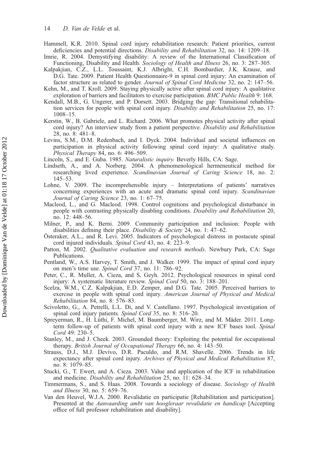- Hammell, K.R. 2010. Spinal cord injury rehabilitation research: Patient priorities, current deficiencies and potential directions. Disability and Rehabilitation 32, no. 14: 1209–18.
- Imrie, R. 2004. Demystifying disability: A review of the International Classification of Functioning, Disability and Health. Sociology of Health and Illness 26, no. 3: 287–305.
- Kalpakjian, C.Z., L.L. Toussaint, K.J. Albright, C.H. Bombardier, J.K. Krause, and D.G. Tate. 2009. Patient Health Questionnaire-9 in spinal cord injury: An examination of factor structure as related to gender. Journal of Spinal Cord Medicine 32, no. 2: 147–56.
- Kehn, M., and T. Kroll. 2009. Staying physically active after spinal cord injury: A qualitative exploration of barriers and facilitators to exercise participation. *BMC Public Health* 9: 168.
- Kendall, M.B., G. Ungerer, and P. Dorsett. 2003. Bridging the gap: Transitional rehabilitation services for people with spinal cord injury. Disability and Rehabilitation 25, no. 17: 1008–15.
- Kerstin, W., B. Gabriele, and L. Richard. 2006. What promotes physical activity after spinal cord injury? An interview study from a patient perspective. Disability and Rehabilitation 28, no. 8: 481–8.
- Levins, S.M., D.M. Redenbach, and I. Dyck. 2004. Individual and societal influences on participation in physical activity following spinal cord injury: A qualitative study. Physical Therapy 84, no. 6: 496-509.
- Lincoln, S., and E. Guba. 1985. Naturalistic inquiry. Beverly Hills, CA: Sage.
- Lindseth, A., and A. Norberg. 2004. A phenomenological hermeneutical method for researching lived experience. Scandinavian Journal of Caring Science 18, no. 2: 145–53.
- Lohne, V. 2009. The incomprehensible injury Interpretations of patients' narratives concerning experiences with an acute and dramatic spinal cord injury. Scandinavian Journal of Caring Science 23, no. 1: 67–75.
- Macleod, L., and G. Macleod. 1998. Control cognitions and psychological disturbance in people with contrasting physically disabling conditions. Disability and Rehabilitation 20, no. 12: 448–56.
- Milner, P., and K. Berni. 2009. Community participation and inclusion: People with disabilities defining their place. Disability  $\&$  Society 24, no. 1: 47–62.
- Österaker, A.L., and R. Levi. 2005. Indicators of psychological distress in postacute spinal cord injured individuals. Spinal Cord 43, no. 4: 223–9.
- Patton, M. 2002. Qualitative evaluation and research methods. Newbury Park, CA: Sage Publications.
- Pentland, W., A.S. Harvey, T. Smith, and J. Walker. 1999. The impact of spinal cord injury on men's time use. Spinal Cord 37, no. 11: 786–92.
- Peter, C., R. Muller, A. Cieza, and S. Geyh. 2012. Psychological resources in spinal cord injury: A systematic literature review. Spinal Cord 50, no. 3: 188–201.
- Scelza, W.M., C.Z. Kalpakjian, E.D. Zemper, and D.G. Tate. 2005. Perceived barriers to exercise in people with spinal cord injury. American Journal of Physical and Medical Rehabilitation 84, no. 8: 576–83.
- Scivoletto, G., A. Petrelli, L.L. Di, and V. Castellano. 1997. Psychological investigation of spinal cord injury patients. Spinal Cord 35, no. 8: 516–20.
- Spreyerman, R., H. Lüthi, F. Michel, M. Baumberger, M. Wirz, and M. Mäder. 2011. Longterm follow-up of patients with spinal cord injury with a new ICF bases tool. Spinal Cord 49: 230–5.
- Stanley, M., and J. Cheek. 2003. Grounded theory: Exploiting the potential for occupational therapy. British Journal of Occupational Therapy 66, no. 4: 143–50.
- Strauss, D.J., M.J. Devivo, D.R. Paculdo, and R.M. Shavelle. 2006. Trends in life expectancy after spinal cord injury. Archives of Physical and Medical Rehabilitation 87, no. 8: 1079–85.
- Stucki, G., T. Ewert, and A. Cieza. 2003. Value and application of the ICF in rehabilitation and medicine. Disability and Rehabilitation 25, no. 11: 628–34.
- Timmermans, S., and S. Haas. 2008. Towards a sociology of disease. Sociology of Health and Illness 30, no. 5: 659–76.
- Van den Heuvel, W.J.A. 2000. Revalidatie en participatie [Rehabilitation and participation]. Presented at the Aanvaarding ambt van hoogleraar revalidatie en handicap [Accepting] office of full professor rehabilitation and disability].